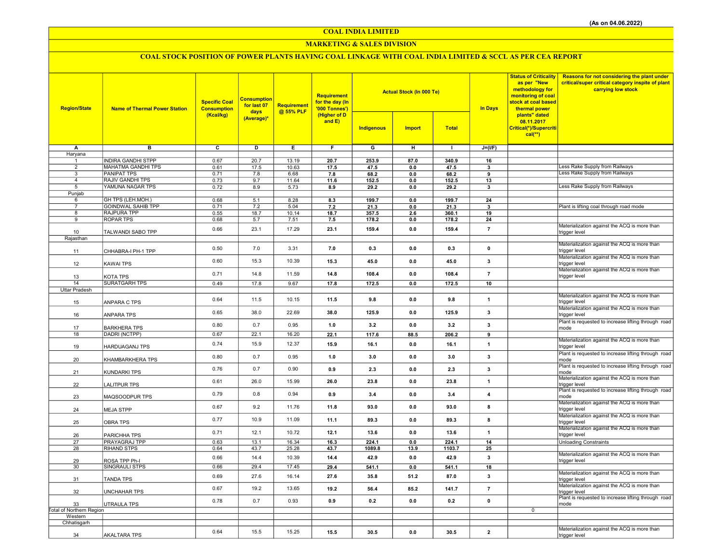COAL INDIA LIMITED

#### MARKETING & SALES DIVISION

## COAL STOCK POSITION OF POWER PLANTS HAVING COAL LINKAGE WITH COAL INDIA LIMITED & SCCL AS PER CEA REPORT

| <b>Region/State</b>            | <b>Name of Thermal Power Station</b> | <b>Specific Coal</b><br><b>Consumption</b> | <b>Consumption</b><br>for last 07<br>days<br>(Average)* | Requirement<br>@ 55% PLF | Requirement<br>for the day (In<br>'000 Tonnes')<br>(Higher of D<br>and $E$ ) |                         | <b>Actual Stock (In 000 Te)</b> |               | In Days        | <b>Status of Criticality</b><br>as per "New<br>methodology for<br>monitoring of coal<br>stock at coal based<br>thermal power | <b>Reasons for not considering the plant under</b><br>critical/super critical category inspite of plant<br>carrying low stock |
|--------------------------------|--------------------------------------|--------------------------------------------|---------------------------------------------------------|--------------------------|------------------------------------------------------------------------------|-------------------------|---------------------------------|---------------|----------------|------------------------------------------------------------------------------------------------------------------------------|-------------------------------------------------------------------------------------------------------------------------------|
|                                |                                      | (Kcal/kg)                                  |                                                         |                          |                                                                              | Indigenous              | <b>Import</b>                   | <b>Total</b>  |                | plants" dated<br>08.11.2017<br>Critical(*)/Supercriti<br>$cal(**)$                                                           |                                                                                                                               |
| A                              | $\overline{B}$                       | $\overline{\mathbf{c}}$                    | ъ                                                       | Έ                        | F                                                                            | $\overline{\mathsf{G}}$ | $\overline{H}$                  | $\mathbf{L}$  | $J=(I/F)$      |                                                                                                                              |                                                                                                                               |
| Haryana                        | <b>INDIRA GANDHI STPP</b>            |                                            |                                                         |                          |                                                                              |                         |                                 |               |                |                                                                                                                              |                                                                                                                               |
| $\mathbf{1}$<br>$\overline{2}$ | MAHATMA GANDHI TPS                   | 0.67<br>0.61                               | 20.7<br>17.5                                            | 13.19<br>10.63           | 20.7<br>17.5                                                                 | 253.9<br>47.5           | 87.0<br>0.0                     | 340.9<br>47.5 | 16<br>3        |                                                                                                                              | ess Rake Supply from Railways                                                                                                 |
| 3                              | <b>PANIPAT TPS</b>                   | 0.71                                       | 7.8                                                     | 6.68                     | 7.8                                                                          | 68.2                    | 0.0                             | 68.2          | 9              |                                                                                                                              | Less Rake Supply from Railways                                                                                                |
| $\overline{4}$                 | <b>RAJIV GANDHI TPS</b>              | 0.73                                       | 9.7                                                     | 11.64                    | 11.6                                                                         | 152.5                   | $0.0\,$                         | 152.5         | 13             |                                                                                                                              |                                                                                                                               |
| 5                              | YAMUNA NAGAR TPS                     | 0.72                                       | 8.9                                                     | 5.73                     | 8.9                                                                          | 29.2                    | 0.0                             | 29.2          | 3              |                                                                                                                              | Less Rake Supply from Railways                                                                                                |
| Punjab<br>6                    | GH TPS (LEH.MOH.)                    | 0.68                                       | 5.1                                                     | 8.28                     | 8.3                                                                          | 199.7                   | 0.0                             | 199.7         | 24             |                                                                                                                              |                                                                                                                               |
| $\overline{7}$                 | <b>GOINDWAL SAHIB TPP</b>            | 0.71                                       | 7.2                                                     | 5.04                     | 7.2                                                                          | 21.3                    | 0.0                             | 21.3          | $\mathbf{3}$   |                                                                                                                              | Plant is lifting coal through road mode                                                                                       |
| 8                              | <b>RAJPURA TPP</b>                   | 0.55                                       | 18.7                                                    | 10.14                    | 18.7                                                                         | 357.5                   | 2.6                             | 360.1         | 19             |                                                                                                                              |                                                                                                                               |
| 9                              | <b>ROPAR TPS</b>                     | 0.68                                       | 5.7                                                     | 7.51                     | 7.5                                                                          | 178.2                   | 0.0                             | 178.2         | 24             |                                                                                                                              |                                                                                                                               |
|                                | TALWANDI SABO TPP                    | 0.66                                       | 23.1                                                    | 17.29                    | 23.1                                                                         | 159.4                   | 0.0                             | 159.4         | $\overline{7}$ |                                                                                                                              | Materialization against the ACQ is more than                                                                                  |
| 10<br>Rajasthan                |                                      |                                            |                                                         |                          |                                                                              |                         |                                 |               |                |                                                                                                                              | trigger level                                                                                                                 |
|                                |                                      |                                            |                                                         | 3.31                     |                                                                              |                         |                                 |               |                |                                                                                                                              | Materialization against the ACQ is more than                                                                                  |
| 11                             | CHHABRA-I PH-1 TPP                   | 0.50                                       | 7.0                                                     |                          | 7.0                                                                          | 0.3                     | 0.0                             | 0.3           | $\pmb{0}$      |                                                                                                                              | trigger level                                                                                                                 |
| 12                             | KAWAI TPS                            | 0.60                                       | 15.3                                                    | 10.39                    | 15.3                                                                         | 45.0                    | 0.0                             | 45.0          | 3              |                                                                                                                              | Materialization against the ACQ is more than<br>trigger level                                                                 |
| 13                             | KOTA TPS                             | 0.71                                       | 14.8                                                    | 11.59                    | 14.8                                                                         | 108.4                   | 0.0                             | 108.4         | $\overline{7}$ |                                                                                                                              | Materialization against the ACQ is more than<br>trigger level                                                                 |
| 14                             | <b>SURATGARH TPS</b>                 | 0.49                                       | 17.8                                                    | 9.67                     | 17.8                                                                         | 172.5                   | 0.0                             | 172.5         | 10             |                                                                                                                              |                                                                                                                               |
| Uttar Pradesh                  |                                      |                                            |                                                         |                          |                                                                              |                         |                                 |               |                |                                                                                                                              |                                                                                                                               |
| 15                             | ANPARA C TPS                         | 0.64                                       | 11.5                                                    | 10.15                    | 11.5                                                                         | 9.8                     | 0.0                             | 9.8           | $\mathbf{1}$   |                                                                                                                              | Materialization against the ACQ is more than<br>trigger level                                                                 |
| 16                             | ANPARA TPS                           | 0.65                                       | 38.0                                                    | 22.69                    | 38.0                                                                         | 125.9                   | 0.0                             | 125.9         | 3              |                                                                                                                              | Materialization against the ACQ is more than<br>trigger level                                                                 |
| 17                             | <b>BARKHERA TPS</b>                  | 0.80                                       | 0.7                                                     | 0.95                     | 1.0                                                                          | 3.2                     | 0.0                             | 3.2           | $\mathbf{3}$   |                                                                                                                              | Plant is requested to increase lifting through road<br>mode                                                                   |
| 18                             | DADRI (NCTPP)                        | 0.67                                       | 22.1                                                    | 16.20                    | 22.1                                                                         | 117.6                   | 88.5                            | 206.2         | 9              |                                                                                                                              |                                                                                                                               |
| 19                             | HARDUAGANJ TPS                       | 0.74                                       | 15.9                                                    | 12.37                    | 15.9                                                                         | 16.1                    | 0.0                             | 16.1          | $\mathbf{1}$   |                                                                                                                              | Materialization against the ACQ is more than<br>trigger level                                                                 |
| 20                             | KHAMBARKHERA TPS                     | 0.80                                       | 0.7                                                     | 0.95                     | 1.0                                                                          | 3.0                     | 0.0                             | 3.0           | 3              |                                                                                                                              | Plant is requested to increase lifting through road<br>mode                                                                   |
| 21                             | KUNDARKI TPS                         | 0.76                                       | 0.7                                                     | 0.90                     | 0.9                                                                          | 2.3                     | 0.0                             | 2.3           | 3              |                                                                                                                              | Plant is requested to increase lifting through road<br>mode                                                                   |
| 22                             | LALITPUR TPS                         | 0.61                                       | 26.0                                                    | 15.99                    | 26.0                                                                         | 23.8                    | 0.0                             | 23.8          | $\mathbf{1}$   |                                                                                                                              | Materialization against the ACQ is more than<br>trigger level                                                                 |
| 23                             | MAQSOODPUR TPS                       | 0.79                                       | 0.8                                                     | 0.94                     | 0.9                                                                          | 3.4                     | 0.0                             | 3.4           | $\overline{4}$ |                                                                                                                              | Plant is requested to increase lifting through road<br>mode                                                                   |
| 24                             | <b>MEJA STPP</b>                     | 0.67                                       | 9.2                                                     | 11.76                    | 11.8                                                                         | 93.0                    | 0.0                             | 93.0          | 8              |                                                                                                                              | Materialization against the ACQ is more than<br>trigger level                                                                 |
| 25                             | <b>OBRA TPS</b>                      | 0.77                                       | 10.9                                                    | 11.09                    | 11.1                                                                         | 89.3                    | 0.0                             | 89.3          | 8              |                                                                                                                              | Materialization against the ACQ is more than<br>trigger level                                                                 |
| 26                             | PARICHHA TPS                         | 0.71                                       | 12.1                                                    | 10.72                    | 12.1                                                                         | 13.6                    | 0.0                             | 13.6          | $\mathbf{1}$   |                                                                                                                              | Materialization against the ACQ is more than<br>trigger level                                                                 |
| 27                             | PRAYAGRAJ TPP                        | 0.63                                       | 13.1                                                    | 16.34                    | 16.3                                                                         | 224.1                   | 0.0                             | 224.1         | 14             |                                                                                                                              | <b>Unloading Constraints</b>                                                                                                  |
| 28                             | <b>RIHAND STPS</b>                   | 0.64                                       | 43.7                                                    | 25.28                    | 43.7                                                                         | 1089.8                  | 13.9                            | 1103.7        | 25             |                                                                                                                              | Materialization against the ACQ is more than                                                                                  |
| 29                             | ROSA TPP Ph-I                        | 0.66                                       | 14.4                                                    | 10.39                    | 14.4                                                                         | 42.9                    | 0.0                             | 42.9          | 3              |                                                                                                                              | trigger level                                                                                                                 |
| 30                             | SINGRAULI STPS                       | 0.66                                       | 29.4                                                    | 17.45                    | 29.4                                                                         | 541.1                   | 0.0                             | 541.1         | 18             |                                                                                                                              |                                                                                                                               |
| 31                             | TANDA TPS                            | 0.69                                       | 27.6                                                    | 16.14                    | 27.6                                                                         | 35.8                    | 51.2                            | 87.0          | 3              |                                                                                                                              | Materialization against the ACQ is more than<br>trigger level                                                                 |
| 32                             | <b>UNCHAHAR TPS</b>                  | 0.67                                       | 19.2                                                    | 13.65                    | 19.2                                                                         | 56.4                    | 85.2                            | 141.7         | $\overline{7}$ |                                                                                                                              | Materialization against the ACQ is more than<br>trigger level                                                                 |
| 33                             | UTRAULA TPS                          | 0.78                                       | 0.7                                                     | 0.93                     | 0.9                                                                          | 0.2                     | 0.0                             | 0.2           | $\pmb{0}$      |                                                                                                                              | Plant is requested to increase lifting through road<br>mode                                                                   |
| Total of Northern Region       |                                      |                                            |                                                         |                          |                                                                              |                         |                                 |               |                | $\mathbf 0$                                                                                                                  |                                                                                                                               |
| Western<br>Chhatisgarh         |                                      |                                            |                                                         |                          |                                                                              |                         |                                 |               |                |                                                                                                                              |                                                                                                                               |
|                                |                                      | 0.64                                       | 15.5                                                    | 15.25                    |                                                                              |                         |                                 |               | $\mathbf{2}$   |                                                                                                                              | Materialization against the ACQ is more than                                                                                  |
| 34                             | <b>AKALTARA TPS</b>                  |                                            |                                                         |                          | 15.5                                                                         | 30.5                    | 0.0                             | 30.5          |                |                                                                                                                              | trigger level                                                                                                                 |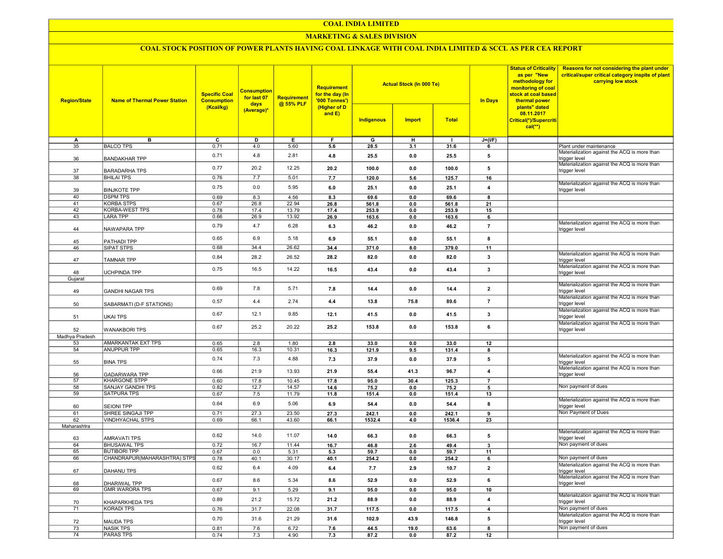#### COAL INDIA LIMITED

#### MARKETING & SALES DIVISION

### COAL STOCK POSITION OF POWER PLANTS HAVING COAL LINKAGE WITH COAL INDIA LIMITED & SCCL AS PER CEA REPORT

| <b>Region/State</b>   | <b>Name of Thermal Power Station</b>         | <b>Specific Coal</b><br><b>Consumption</b> | <b>Consumption</b><br>for last 07<br>days | Requirement<br>@ 55% PLF | Requirement<br>for the day (In<br>'000 Tonnes') |               | <b>Actual Stock (In 000 Te)</b> |               | as per "New<br><b>In Days</b><br>thermal power | <b>Status of Criticality</b><br>methodology for<br>monitoring of coal<br>stock at coal based | Reasons for not considering the plant under<br>critical/super critical category inspite of plant<br>carrying low stock |
|-----------------------|----------------------------------------------|--------------------------------------------|-------------------------------------------|--------------------------|-------------------------------------------------|---------------|---------------------------------|---------------|------------------------------------------------|----------------------------------------------------------------------------------------------|------------------------------------------------------------------------------------------------------------------------|
|                       |                                              | (Kcal/kg)                                  | (Average)*                                |                          | (Higher of D<br>and E)                          | Indigenous    | <b>Import</b>                   | <b>Total</b>  |                                                | plants" dated<br>08.11.2017<br>Critical(*)/Supercriti<br>$cal(**)$                           |                                                                                                                        |
| А                     | в                                            | $\overline{c}$                             | D                                         | E                        | F                                               | G             | н                               |               | $J=(I/F)$                                      |                                                                                              |                                                                                                                        |
| 35                    | <b>BALCO TPS</b>                             | 0.71                                       | 4.0                                       | 5.60                     | 5.6                                             | 28.5          | 3.1                             | 31.6          | -6                                             |                                                                                              | Plant under maintenance                                                                                                |
| 36                    | <b>BANDAKHAR TPP</b>                         | 0.71                                       | 4.8                                       | 2.81                     | 4.8                                             | 25.5          | 0.0                             | 25.5          | 5                                              |                                                                                              | Materialization against the ACQ is more than<br>trigger level<br>Materialization against the ACQ is more than          |
| 37                    | <b>BARADARHA TPS</b>                         | 0.77                                       | 20.2                                      | 12.25                    | 20.2                                            | 100.0         | 0.0                             | 100.0         | 5                                              |                                                                                              | trigger level                                                                                                          |
| 38                    | <b>BHILAI TPS</b>                            | 0.76                                       | 7.7                                       | 5.01                     | 7.7                                             | 120.0         | 5.6                             | 125.7         | 16                                             |                                                                                              | Materialization against the ACQ is more than                                                                           |
| 39<br>40              | <b>BINJKOTE TPP</b><br><b>DSPM TPS</b>       | 0.75<br>0.69                               | 0.0                                       | 5.95<br>4.56             | 6.0<br>8.3                                      | 25.1<br>69.6  | 0.0<br>0.0                      | 25.1<br>69.6  | $\overline{4}$                                 |                                                                                              | trigger level                                                                                                          |
| 41                    | <b>KORBA STPS</b>                            | 0.67                                       | 8.3<br>26.8                               | 22.94                    | 26.8                                            | 561.8         | 0.0                             | 561.8         | 8<br>21                                        |                                                                                              |                                                                                                                        |
| $\overline{42}$       | <b>KORBA-WEST TPS</b>                        | 0.78                                       | 17.4                                      | 13.79                    | 17.4                                            | 253.9         | 0.0                             | 253.9         | 15                                             |                                                                                              |                                                                                                                        |
| 43                    | <b>LARA TPP</b>                              | 0.66                                       | 26.9                                      | 13.92                    | 26.9                                            | 163.6         | 0.0                             | 163.6         | 6                                              |                                                                                              |                                                                                                                        |
| 44                    | NAWAPARA TPP                                 | 0.79                                       | 4.7                                       | 6.28                     | 6.3                                             | 46.2          | 0.0                             | 46.2          | $\overline{7}$                                 |                                                                                              | Materialization against the ACQ is more than<br>trigger level                                                          |
| 45                    | PATHADI TPP                                  | 0.65                                       | 6.9                                       | 5.18                     | 6.9                                             | 55.1          | 0.0                             | 55.1          | 8                                              |                                                                                              |                                                                                                                        |
| 46                    | SIPAT STPS                                   | 0.68                                       | 34.4                                      | 26.62                    | 34.4                                            | 371.0         | 8.0                             | 379.0         | 11                                             |                                                                                              |                                                                                                                        |
| 47                    | <b>TAMNAR TPP</b>                            | 0.84                                       | 28.2                                      | 26.52                    | 28.2                                            | 82.0          | 0.0                             | 82.0          | $\mathbf{3}$                                   |                                                                                              | Materialization against the ACQ is more than<br>trigger level                                                          |
|                       |                                              | 0.75                                       | 16.5                                      | 14.22                    | 16.5                                            | 43.4          | 0.0                             | 43.4          | $\mathbf 3$                                    |                                                                                              | Materialization against the ACQ is more than                                                                           |
| 48                    | UCHPINDA TPP                                 |                                            |                                           |                          |                                                 |               |                                 |               |                                                |                                                                                              | trigger level                                                                                                          |
| Gujarat               |                                              |                                            |                                           |                          |                                                 |               |                                 |               |                                                |                                                                                              | Materialization against the ACQ is more than                                                                           |
| 49                    | <b>GANDHI NAGAR TPS</b>                      | 0.69                                       | 7.8                                       | 5.71                     | 7.8                                             | 14.4          | 0.0                             | 14.4          | $\overline{\mathbf{2}}$                        |                                                                                              | rigger level<br>Materialization against the ACQ is more than                                                           |
| 50                    | SABARMATI (D-F STATIONS)                     | 0.57                                       | 4.4                                       | 2.74                     | 4.4                                             | 13.8          | 75.8                            | 89.6          | $\overline{7}$                                 |                                                                                              | trigger level                                                                                                          |
| 51                    | <b>UKAI TPS</b>                              | 0.67                                       | 12.1                                      | 9.85                     | 12.1                                            | 41.5          | 0.0                             | 41.5          | 3                                              |                                                                                              | Materialization against the ACQ is more than<br>trigger level                                                          |
| 52                    | <b>WANAKBORI TPS</b>                         | 0.67                                       | 25.2                                      | 20.22                    | 25.2                                            | 153.8         | 0.0                             | 153.8         | 6                                              |                                                                                              | Materialization against the ACQ is more than<br>trigger level                                                          |
| Madhya Pradesh        |                                              |                                            |                                           |                          |                                                 |               |                                 |               |                                                |                                                                                              |                                                                                                                        |
| 53                    | AMARKANTAK EXT TPS                           | 0.65                                       | 2.8                                       | 1.80                     | 2.8                                             | 33.0          | 0.0                             | 33.0          | 12                                             |                                                                                              |                                                                                                                        |
| 54                    | <b>ANUPPUR TPP</b>                           | 0.65<br>0.74                               | 16.3<br>7.3                               | 10.31<br>4.88            | 16.3<br>7.3                                     | 121.9<br>37.9 | 9.5<br>0.0                      | 131.4<br>37.9 | 8<br>5                                         |                                                                                              | Materialization against the ACQ is more than                                                                           |
| 55                    | <b>BINA TPS</b>                              | 0.66                                       | 21.9                                      | 13.93                    | 21.9                                            | 55.4          | 41.3                            | 96.7          | $\overline{\mathbf{4}}$                        |                                                                                              | trigger level<br>Materialization against the ACQ is more than                                                          |
| 56<br>$\overline{57}$ | <b>GADARWARA TPP</b><br><b>KHARGONE STPP</b> |                                            | 17.8                                      |                          |                                                 |               |                                 |               |                                                |                                                                                              | trigger level                                                                                                          |
| 58                    | SANJAY GANDHI TPS                            | 0.60<br>0.82                               | 12.7                                      | 10.45<br>14.57           | 17.8<br>14.6                                    | 95.0<br>75.2  | 30.4<br>0.0                     | 125.3<br>75.2 | $\overline{7}$<br>5                            |                                                                                              | Non payment of dues                                                                                                    |
| 59                    | <b>SATPURA TPS</b>                           | 0.67                                       | 7.5                                       | 11.79                    | 11.8                                            | 151.4         | 0.0                             | 151.4         | 13                                             |                                                                                              |                                                                                                                        |
| 60                    | <b>SEIONI TPP</b>                            | 0.64                                       | 6.9                                       | 5.06                     | 6.9                                             | 54.4          | 0.0                             | 54.4          | 8                                              |                                                                                              | Materialization against the ACQ is more than<br>trigger level                                                          |
| 61                    | SHREE SINGAJI TPP                            | 0.71                                       | 27.3                                      | 23.50                    | 27.3                                            | 242.1         | 0.0                             | 242.1         | 9                                              |                                                                                              | Non Payment of Dues                                                                                                    |
| 62                    | <b>VINDHYACHAL STPS</b>                      | 0.69                                       | 66.1                                      | 43.60                    | 66.1                                            | 1532.4        | 4.0                             | 1536.4        | 23                                             |                                                                                              |                                                                                                                        |
| Maharashtra           |                                              |                                            |                                           |                          |                                                 |               |                                 |               |                                                |                                                                                              |                                                                                                                        |
| 63                    | AMRAVATI TPS                                 | 0.62                                       | 14.0                                      | 11.07                    | 14.0                                            | 66.3          | 0.0                             | 66.3          | 5                                              |                                                                                              | Materialization against the ACQ is more than<br>trigger level                                                          |
| 64                    | <b>BHUSAWAL TPS</b>                          | 0.72                                       | 16.7                                      | 11.44                    | 16.7                                            | 46.8          | 2.6                             | 49.4          | $\mathbf{3}$                                   |                                                                                              | Non payment of dues                                                                                                    |
| 65                    | <b>BUTIBORI TPP</b>                          | 0.67                                       | 0.0                                       | 5.31                     | 5.3                                             | 59.7          | 0.0                             | 59.7          | 11                                             |                                                                                              |                                                                                                                        |
| 66                    | CHANDRAPUR(MAHARASHTRA) STPS                 | 0.78                                       | 40.1                                      | 30.17                    | 40.1                                            | 254.2         | 0.0                             | 254.2         | 6                                              |                                                                                              | Non payment of dues                                                                                                    |
| 67                    | DAHANU TPS                                   | 0.62                                       | 6.4                                       | 4.09                     | 6.4                                             | 7.7           | 2.9                             | 10.7          | $\mathbf 2$                                    |                                                                                              | Materialization against the ACQ is more than<br>trigger level                                                          |
| 68                    | <b>DHARIWAL TPP</b>                          | 0.67                                       | 8.6                                       | 5.34                     | 8.6                                             | 52.9          | 0.0                             | 52.9          | 6                                              |                                                                                              | Materialization against the ACQ is more than<br>trigger level                                                          |
| 69                    | <b>GMR WARORA TPS</b>                        | 0.67                                       | 9.1                                       | 5.29                     | 9.1                                             | 95.0          | 0.0                             | 95.0          | 10                                             |                                                                                              |                                                                                                                        |
| 70                    | KHAPARKHEDA TPS                              | 0.89                                       | 21.2                                      | 15.72                    | 21.2                                            | 88.9          | 0.0                             | 88.9          | $\overline{\mathbf{4}}$                        |                                                                                              | Materialization against the ACQ is more than<br>trigger level                                                          |
| $\overline{71}$       | <b>KORADI TPS</b>                            | 0.76                                       | 31.7                                      | 22.08                    | 31.7                                            | 117.5         | 0.0                             | 117.5         | $\overline{4}$                                 |                                                                                              | Non payment of dues                                                                                                    |
| 72                    | <b>MAUDA TPS</b>                             | 0.70                                       | 31.6                                      | 21.29                    | 31.6                                            | 102.9         | 43.9                            | 146.8         | ${\bf 5}$                                      |                                                                                              | Materialization against the ACQ is more than<br>trigger level                                                          |
| $\overline{73}$       | <b>NASIK TPS</b>                             | 0.81                                       | 7.6                                       | 6.72                     | 7.6                                             | 44.5          | 19.0                            | 63.6          | $\overline{\mathbf{8}}$                        |                                                                                              | Non payment of dues                                                                                                    |
| $\overline{74}$       | <b>PARAS TPS</b>                             | 0.74                                       | 7.3                                       | 4.90                     | 7.3                                             | 87.2          | 0.0                             | 87.2          | 12                                             |                                                                                              |                                                                                                                        |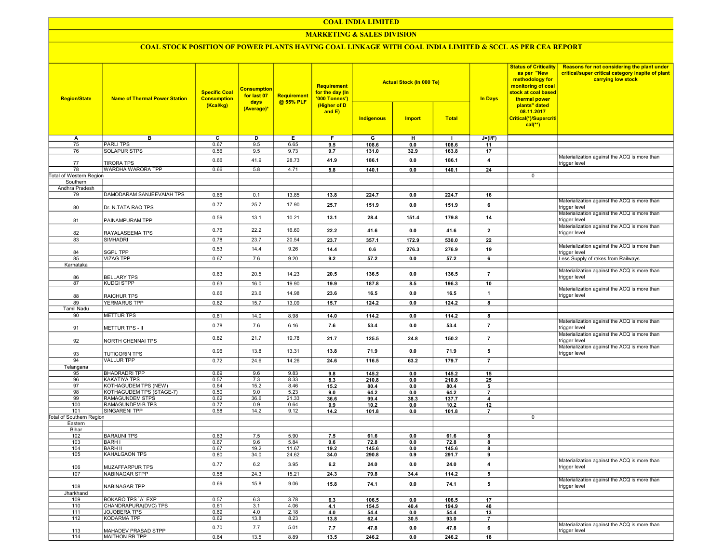### COAL INDIA LIMITED

### **MARKETING & SALES DIVISION**

# COAL STOCK POSITION OF POWER PLANTS HAVING COAL LINKAGE WITH COAL INDIA LIMITED & SCCL AS PER CEA REPORT

| <b>Region/State</b>                    | <b>Name of Thermal Power Station</b> | <b>Specific Coal</b><br><b>Consumption</b><br>(Kcal/kg) | <b>Consumption</b><br>for last 07<br>days<br>(Average)* | <b>Requirement</b><br>@ 55% PLF | <b>Requirement</b><br>for the day (In<br>'000 Tonnes')<br>(Higher of D<br>and $E$ ) | <b>Actual Stock (In 000 Te)</b><br><b>Total</b><br>Indigenous<br><b>Import</b> |       |              | <b>In Days</b>          | <b>Status of Criticality</b><br>as per "New<br>methodology for<br>monitoring of coal<br>stock at coal based<br>thermal power<br>plants" dated<br>08.11.2017<br>Critical(*)/Supercriti<br>$cal(**)$ | Reasons for not considering the plant under<br>critical/super critical category inspite of plant<br>carrying low stock |
|----------------------------------------|--------------------------------------|---------------------------------------------------------|---------------------------------------------------------|---------------------------------|-------------------------------------------------------------------------------------|--------------------------------------------------------------------------------|-------|--------------|-------------------------|----------------------------------------------------------------------------------------------------------------------------------------------------------------------------------------------------|------------------------------------------------------------------------------------------------------------------------|
|                                        |                                      |                                                         |                                                         |                                 |                                                                                     |                                                                                |       |              |                         |                                                                                                                                                                                                    |                                                                                                                        |
| A                                      | в                                    | C                                                       | D                                                       | Е.                              | F.                                                                                  | G                                                                              | н     | $\mathbf{I}$ | $J=(I/F)$               |                                                                                                                                                                                                    |                                                                                                                        |
| 75                                     | <b>PARLITPS</b>                      | 0.67                                                    | 9.5                                                     | 6.65                            | 9.5                                                                                 | 108.6                                                                          | 0.0   | 108.6        | 11                      |                                                                                                                                                                                                    |                                                                                                                        |
| 76                                     | <b>SOLAPUR STPS</b>                  | 0.56                                                    | 9.5                                                     | 9.73                            | 9.7                                                                                 | 131.0                                                                          | 32.9  | 163.8        | 17                      |                                                                                                                                                                                                    |                                                                                                                        |
| 77                                     | <b>TIRORA TPS</b>                    | 0.66                                                    | 41.9                                                    | 28.73                           | 41.9                                                                                | 186.1                                                                          | 0.0   | 186.1        | $\overline{\mathbf{4}}$ |                                                                                                                                                                                                    | Materialization against the ACQ is more than<br>trigger level                                                          |
| 78                                     | WARDHA WARORA TPP                    | 0.66                                                    | 5.8                                                     | 4.71                            | 5.8                                                                                 | 140.1                                                                          | 0.0   | 140.1        | 24                      |                                                                                                                                                                                                    |                                                                                                                        |
| <b>Total of Western Region</b>         |                                      |                                                         |                                                         |                                 |                                                                                     |                                                                                |       |              |                         | 0                                                                                                                                                                                                  |                                                                                                                        |
| Southern                               |                                      |                                                         |                                                         |                                 |                                                                                     |                                                                                |       |              |                         |                                                                                                                                                                                                    |                                                                                                                        |
| Andhra Pradesh                         |                                      |                                                         |                                                         |                                 |                                                                                     |                                                                                |       |              |                         |                                                                                                                                                                                                    |                                                                                                                        |
| 79                                     | DAMODARAM SANJEEVAIAH TPS            | 0.66                                                    | 0.1                                                     | 13.85                           | 13.8                                                                                | 224.7                                                                          | 0.0   | 224.7        | 16                      |                                                                                                                                                                                                    |                                                                                                                        |
| 80                                     | Dr. N.TATA RAO TPS                   | 0.77                                                    | 25.7                                                    | 17.90                           | 25.7                                                                                | 151.9                                                                          | 0.0   | 151.9        | 6                       |                                                                                                                                                                                                    | Materialization against the ACQ is more than<br>trigger level                                                          |
| 81                                     | PAINAMPURAM TPP                      | 0.59                                                    | 13.1                                                    | 10.21                           | 13.1                                                                                | 28.4                                                                           | 151.4 | 179.8        | 14                      |                                                                                                                                                                                                    | Materialization against the ACQ is more than<br>trigger level                                                          |
| 82                                     | RAYALASEEMA TPS                      | 0.76                                                    | 22.2                                                    | 16.60                           | 22.2                                                                                | 41.6                                                                           | 0.0   | 41.6         | $\overline{2}$          |                                                                                                                                                                                                    | Materialization against the ACQ is more than<br>trigger level                                                          |
| 83                                     | <b>SIMHADRI</b>                      | 0.78                                                    | 23.7                                                    | 20.54                           | 23.7                                                                                | 357.1                                                                          | 172.9 | 530.0        | 22                      |                                                                                                                                                                                                    |                                                                                                                        |
|                                        |                                      |                                                         |                                                         |                                 |                                                                                     |                                                                                |       |              |                         |                                                                                                                                                                                                    | Materialization against the ACQ is more than                                                                           |
| 84                                     | <b>SGPL TPP</b>                      | 0.53                                                    | 14.4                                                    | 9.26                            | 14.4                                                                                | 0.6                                                                            | 276.3 | 276.9        | 19                      |                                                                                                                                                                                                    | trigger level                                                                                                          |
| 85                                     | <b>VIZAG TPP</b>                     | 0.67                                                    | 7.6                                                     | 9.20                            | 9.2                                                                                 | 57.2                                                                           | 0.0   | 57.2         | 6                       |                                                                                                                                                                                                    | Less Supply of rakes from Railways                                                                                     |
| Karnataka                              |                                      |                                                         |                                                         |                                 |                                                                                     |                                                                                |       |              |                         |                                                                                                                                                                                                    |                                                                                                                        |
| 86                                     | <b>BELLARY TPS</b>                   | 0.63                                                    | 20.5                                                    | 14.23                           | 20.5                                                                                | 136.5                                                                          | 0.0   | 136.5        | $\overline{7}$          |                                                                                                                                                                                                    | Materialization against the ACQ is more than<br>trigger level                                                          |
| 87                                     | <b>KUDGI STPP</b>                    | 0.63                                                    | 16.0                                                    | 19.90                           | 19.9                                                                                | 187.8                                                                          | 8.5   | 196.3        | 10                      |                                                                                                                                                                                                    |                                                                                                                        |
|                                        |                                      | 0.66                                                    | 23.6                                                    | 14.98                           | 23.6                                                                                | 16.5                                                                           | 0.0   | 16.5         | $\overline{1}$          |                                                                                                                                                                                                    | Materialization against the ACQ is more than                                                                           |
| 88                                     | <b>RAICHUR TPS</b>                   |                                                         |                                                         |                                 |                                                                                     |                                                                                |       |              |                         |                                                                                                                                                                                                    | trigger level                                                                                                          |
| 89                                     | YERMARUS TPP                         | 0.62                                                    | 15.7                                                    | 13.09                           | 15.7                                                                                | 124.2                                                                          | 0.0   | 124.2        | 8                       |                                                                                                                                                                                                    |                                                                                                                        |
| Tamil Nadu                             |                                      |                                                         |                                                         |                                 |                                                                                     |                                                                                |       |              |                         |                                                                                                                                                                                                    |                                                                                                                        |
| 90                                     | <b>METTUR TPS</b>                    | 0.81                                                    | 14.0                                                    | 8.98                            | 14.0                                                                                | 114.2                                                                          | 0.0   | 114.2        | 8                       |                                                                                                                                                                                                    |                                                                                                                        |
| 91                                     | METTUR TPS - II                      | 0.78                                                    | 7.6                                                     | 6.16                            | 7.6                                                                                 | 53.4                                                                           | 0.0   | 53.4         | $\overline{7}$          |                                                                                                                                                                                                    | Materialization against the ACQ is more than<br>trigger level                                                          |
| 92                                     | NORTH CHENNAI TPS                    | 0.82                                                    | 21.7                                                    | 19.78                           | 21.7                                                                                | 125.5                                                                          | 24.8  | 150.2        | $\overline{7}$          |                                                                                                                                                                                                    | Materialization against the ACQ is more than<br>trigger level                                                          |
| 93                                     | <b>TUTICORIN TPS</b>                 | 0.96                                                    | 13.8                                                    | 13.31                           | 13.8                                                                                | 71.9                                                                           | 0.0   | 71.9         | 5                       |                                                                                                                                                                                                    | Materialization against the ACQ is more than<br>trigger level                                                          |
| 94                                     | <b>VALLUR TPP</b>                    | 0.72                                                    | 24.6                                                    | 14.26                           | 24.6                                                                                | 116.5                                                                          | 63.2  | 179.7        | $\overline{7}$          |                                                                                                                                                                                                    |                                                                                                                        |
| Telangana                              |                                      |                                                         |                                                         |                                 |                                                                                     |                                                                                |       |              |                         |                                                                                                                                                                                                    |                                                                                                                        |
| 95                                     | <b>BHADRADRI TPP</b>                 | 0.69                                                    | 9.6                                                     | 9.83                            | 9.8                                                                                 | 145.2                                                                          | 0.0   | 145.2        | 15                      |                                                                                                                                                                                                    |                                                                                                                        |
| 96                                     | <b>KAKATIYA TPS</b>                  | 0.57                                                    | 7.3                                                     | 8.33                            | 8.3                                                                                 | 210.8                                                                          | 0.0   | 210.8        | 25                      |                                                                                                                                                                                                    |                                                                                                                        |
| 97                                     | KOTHAGUDEM TPS (NEW)                 | 0.64                                                    | 15.2                                                    | 8.46                            | 15.2                                                                                | 80.4                                                                           | 0.0   | 80.4         | 5                       |                                                                                                                                                                                                    |                                                                                                                        |
| 98                                     | KOTHAGUDEM TPS (STAGE-7)             | 0.50                                                    | 9.0                                                     | 5.23                            | 9.0                                                                                 | 64.2                                                                           | 0.0   | 64.2         | $\overline{7}$          |                                                                                                                                                                                                    |                                                                                                                        |
| 99                                     | RAMAGUNDEM STPS                      | 0.62                                                    | 36.6                                                    | 21.33                           | 36.6                                                                                | 99.4                                                                           | 38.3  | 137.7        | $\overline{4}$          |                                                                                                                                                                                                    |                                                                                                                        |
| 100                                    | RAMAGUNDEM-B TPS                     | 0.77                                                    | 0.9                                                     | 0.64                            | 0.9                                                                                 | 10.2                                                                           | 0.0   | 10.2         | 12                      |                                                                                                                                                                                                    |                                                                                                                        |
| 101<br><b>Total of Southern Region</b> | SINGARENI TPP                        | 0.58                                                    | 14.2                                                    | 9.12                            | 14.2                                                                                | 101.8                                                                          | 0.0   | 101.8        | $\overline{7}$          |                                                                                                                                                                                                    |                                                                                                                        |
| Eastern                                |                                      |                                                         |                                                         |                                 |                                                                                     |                                                                                |       |              |                         | 0                                                                                                                                                                                                  |                                                                                                                        |
| Bihar                                  |                                      |                                                         |                                                         |                                 |                                                                                     |                                                                                |       |              |                         |                                                                                                                                                                                                    |                                                                                                                        |
| 102                                    | <b>BARAUNI TPS</b>                   | 0.63                                                    | 7.5                                                     | 5.90                            | 7.5                                                                                 | 61.6                                                                           | 0.0   | 61.6         | 8                       |                                                                                                                                                                                                    |                                                                                                                        |
| 103                                    | <b>BARH I</b>                        | 0.67                                                    | 9.6                                                     | 5.84                            | 9.6                                                                                 | 72.8                                                                           | 0.0   | 72.8         | 8                       |                                                                                                                                                                                                    |                                                                                                                        |
| 104                                    | <b>BARH II</b>                       | 0.67                                                    | 19.2                                                    | 11.67                           | 19.2                                                                                | 145.6                                                                          | 0.0   | 145.6        | 8                       |                                                                                                                                                                                                    |                                                                                                                        |
| 105                                    | <b>KAHALGAON TPS</b>                 | 0.80                                                    | 34.0                                                    | 24.62                           | 34.0                                                                                | 290.8                                                                          | 0.9   | 291.7        | 9                       |                                                                                                                                                                                                    |                                                                                                                        |
| 106                                    | MUZAFFARPUR TPS                      | 0.77                                                    | 6.2                                                     | 3.95                            | 6.2                                                                                 | 24.0                                                                           | 0.0   | 24.0         | $\overline{4}$          |                                                                                                                                                                                                    | Materialization against the ACQ is more than<br>trigger level                                                          |
| 107                                    | NABINAGAR STPP                       | 0.58                                                    | 24.3                                                    | 15.21                           | 24.3                                                                                | 79.8                                                                           | 34.4  | 114.2        | 5                       |                                                                                                                                                                                                    |                                                                                                                        |
| 108                                    | NABINAGAR TPP                        | 0.69                                                    | 15.8                                                    | 9.06                            | 15.8                                                                                | 74.1                                                                           | 0.0   | 74.1         | 5                       |                                                                                                                                                                                                    | Materialization against the ACQ is more than<br>trigger level                                                          |
| Jharkhand                              |                                      |                                                         |                                                         |                                 |                                                                                     |                                                                                |       |              |                         |                                                                                                                                                                                                    |                                                                                                                        |
| 109                                    | BOKARO TPS 'A' EXP                   | 0.57                                                    | 6.3                                                     | 3.78                            | 6.3                                                                                 | 106.5                                                                          | 0.0   | 106.5        | 17                      |                                                                                                                                                                                                    |                                                                                                                        |
| 110                                    | CHANDRAPURA(DVC) TPS                 | 0.61                                                    | 3.1                                                     | 4.06                            | 4.1                                                                                 | 154.5                                                                          | 40.4  | 194.9        | 48                      |                                                                                                                                                                                                    |                                                                                                                        |
| 111                                    | JOJOBERA TPS                         | 0.69                                                    | 4.0                                                     | 2.18                            | 4.0                                                                                 | 54.4                                                                           | 0.0   | 54.4         | 13                      |                                                                                                                                                                                                    |                                                                                                                        |
| 112                                    | KODARMA TPP                          | 0.62                                                    | 13.8                                                    | 8.23                            | 13.8                                                                                | 62.4                                                                           | 30.5  | 93.0         | $\overline{7}$          |                                                                                                                                                                                                    |                                                                                                                        |
| 113                                    | MAHADEV PRASAD STPP                  | 0.70                                                    | 7.7                                                     | 5.01                            | 7.7                                                                                 | 47.8                                                                           | 0.0   | 47.8         | 6                       |                                                                                                                                                                                                    | Materialization against the ACQ is more than<br>trigger level                                                          |
| 114                                    | MAITHON RB TPP                       | 0.64                                                    | 13.5                                                    | 8.89                            | 13.5                                                                                | 246.2                                                                          | 0.0   | 246.2        | 18                      |                                                                                                                                                                                                    |                                                                                                                        |